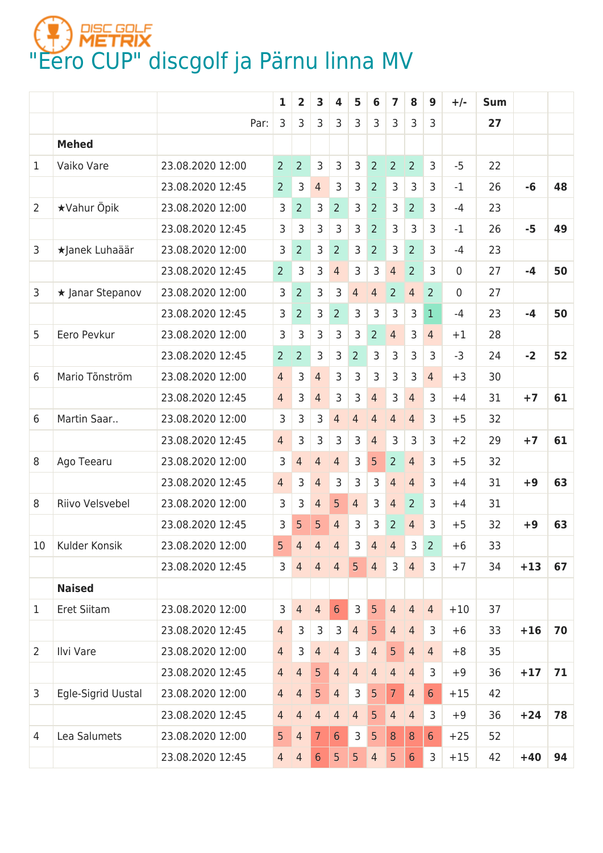## **(F) PIEC GOLF**<br>["Eero CUP" discgolf ja Pärnu linna MV](https://discgolfmetrix.com/1442103)

|                 |                    |                  | $\mathbf{1}$   | $\overline{2}$ | 3              | 4              | 5              | 6              | $\overline{7}$   | 8                | 9              | $+/-$       | <b>Sum</b> |       |    |
|-----------------|--------------------|------------------|----------------|----------------|----------------|----------------|----------------|----------------|------------------|------------------|----------------|-------------|------------|-------|----|
|                 |                    | Par:             | 3              | 3              | 3              | $\overline{3}$ | 3              | 3              | 3                | 3                | 3              |             | 27         |       |    |
|                 | <b>Mehed</b>       |                  |                |                |                |                |                |                |                  |                  |                |             |            |       |    |
| 1               | Vaiko Vare         | 23.08.2020 12:00 | $\overline{2}$ | $\overline{2}$ | 3              | 3              | 3              | $\overline{2}$ | $\overline{2}$   | $\overline{2}$   | 3              | $-5$        | 22         |       |    |
|                 |                    | 23.08.2020 12:45 | $\overline{2}$ | 3              | $\overline{4}$ | 3              | 3              | $\overline{2}$ | 3                | $\overline{3}$   | 3              | $-1$        | 26         | -6    | 48 |
| $\overline{2}$  | <b>★Vahur Öpik</b> | 23.08.2020 12:00 | 3              | $\overline{2}$ | 3              | $\overline{2}$ | 3              | $\overline{2}$ | 3                | $\overline{2}$   | 3              | $-4$        | 23         |       |    |
|                 |                    | 23.08.2020 12:45 | 3              | 3              | 3              | 3              | 3              | $\overline{2}$ | 3                | 3                | 3              | $-1$        | 26         | $-5$  | 49 |
| 3               | ★Janek Luhaäär     | 23.08.2020 12:00 | 3              | $\overline{2}$ | 3              | $\overline{2}$ | 3              | $\overline{2}$ | 3                | $\overline{2}$   | 3              | $-4$        | 23         |       |    |
|                 |                    | 23.08.2020 12:45 | $\overline{2}$ | 3              | 3              | $\overline{4}$ | 3              | 3              | 4                | $\overline{2}$   | 3              | $\mathbf 0$ | 27         | $-4$  | 50 |
| 3               | ★ Janar Stepanov   | 23.08.2020 12:00 | 3              | 2              | 3              | 3              | $\overline{4}$ | $\overline{4}$ | 2                | $\overline{4}$   | $\overline{2}$ | 0           | 27         |       |    |
|                 |                    | 23.08.2020 12:45 | 3              | 2              | 3              | $\overline{2}$ | 3              | 3              | 3                | 3                | $\mathbf{1}$   | $-4$        | 23         | $-4$  | 50 |
| 5               | Eero Pevkur        | 23.08.2020 12:00 | 3              | 3              | 3              | 3              | 3              | $\overline{2}$ | $\overline{4}$   | 3                | $\overline{4}$ | $+1$        | 28         |       |    |
|                 |                    | 23.08.2020 12:45 | $\overline{2}$ | $\overline{2}$ | 3              | 3              | $\overline{2}$ | 3              | 3                | 3                | 3              | $-3$        | 24         | $-2$  | 52 |
| 6               | Mario Tõnström     | 23.08.2020 12:00 | $\overline{4}$ | 3              | $\overline{4}$ | 3              | 3              | 3              | 3                | 3                | $\overline{4}$ | $+3$        | 30         |       |    |
|                 |                    | 23.08.2020 12:45 | $\overline{4}$ | 3              | 4              | 3              | 3              | $\overline{4}$ | 3                | $\overline{4}$   | 3              | $+4$        | 31         | $+7$  | 61 |
| 6               | Martin Saar        | 23.08.2020 12:00 | 3              | 3              | 3              | $\overline{4}$ | $\overline{4}$ | $\overline{4}$ | $\overline{4}$   | $\overline{4}$   | 3              | $+5$        | 32         |       |    |
|                 |                    | 23.08.2020 12:45 | $\overline{4}$ | 3              | 3              | 3              | 3              | $\overline{4}$ | 3                | 3                | 3              | $+2$        | 29         | $+7$  | 61 |
| 8               | Ago Teearu         | 23.08.2020 12:00 | 3              | 4              | $\overline{4}$ | $\overline{4}$ | 3              | 5              | $\overline{2}$   | $\overline{4}$   | 3              | $+5$        | 32         |       |    |
|                 |                    | 23.08.2020 12:45 | $\overline{4}$ | 3              | 4              | 3              | 3              | 3              | 4                | $\overline{4}$   | 3              | $+4$        | 31         | $+9$  | 63 |
| 8               | Riivo Velsvebel    | 23.08.2020 12:00 | 3              | 3              | $\overline{4}$ | 5              | $\overline{4}$ | 3              | 4                | $\overline{2}$   | 3              | $+4$        | 31         |       |    |
|                 |                    | 23.08.2020 12:45 | $\overline{3}$ | 5              | 5              | $\overline{4}$ | 3              | 3              | $\overline{2}$   | $\overline{4}$   | $\overline{3}$ | $+5$        | 32         | $+9$  | 63 |
| 10 <sup>°</sup> | Kulder Konsik      | 23.08.2020 12:00 | 5 <sup>1</sup> | $\overline{4}$ | $\overline{4}$ | $\overline{4}$ | 3              | 4              | 4                | 3                | 2 <sup>1</sup> | $+6$        | 33         |       |    |
|                 |                    | 23.08.2020 12:45 | 3              | $\overline{4}$ | $\overline{4}$ | $\overline{4}$ | 5 <sup>1</sup> | $\overline{4}$ | $\mathsf{3}$     | $\overline{4}$   | 3              | $+7$        | 34         | $+13$ | 67 |
|                 | <b>Naised</b>      |                  |                |                |                |                |                |                |                  |                  |                |             |            |       |    |
| 1               | Eret Siitam        | 23.08.2020 12:00 | 3              | $\overline{4}$ | $\overline{4}$ | $6\phantom{1}$ | $\overline{3}$ | 5              | $\overline{4}$   | $\overline{4}$   | $\overline{4}$ | $+10$       | 37         |       |    |
|                 |                    | 23.08.2020 12:45 | $\overline{4}$ | 3              | 3              | 3              | $\overline{4}$ | 5              | $\overline{4}$   | $\overline{4}$   | 3              | $+6$        | 33         | $+16$ | 70 |
| $\overline{2}$  | Ilvi Vare          | 23.08.2020 12:00 | $\overline{4}$ | 3              | $\overline{4}$ | $\overline{4}$ | 3              | $\overline{4}$ | 5                | $\overline{4}$   | $\overline{4}$ | $+8$        | 35         |       |    |
|                 |                    | 23.08.2020 12:45 | $\overline{4}$ | $\overline{4}$ | 5              | $\overline{4}$ | $\overline{4}$ | $\overline{4}$ | $\overline{4}$   | $\overline{4}$   | 3              | $+9$        | 36         | $+17$ | 71 |
| 3               | Egle-Sigrid Uustal | 23.08.2020 12:00 | $\overline{4}$ | $\overline{4}$ | 5              | $\overline{4}$ | $\mathsf{3}$   | 5              | 7 <sup>1</sup>   | $\overline{4}$   | $6\phantom{1}$ | $+15$       | 42         |       |    |
|                 |                    | 23.08.2020 12:45 | $\overline{4}$ | $\overline{4}$ | $\overline{4}$ | $\overline{4}$ | $\overline{4}$ | 5              | $\overline{4}$   | $\overline{4}$   | 3              | $+9$        | 36         | $+24$ | 78 |
| $\overline{4}$  | Lea Salumets       | 23.08.2020 12:00 | 5 <sub>5</sub> | $\overline{4}$ | $\overline{7}$ | $6\phantom{1}$ | 3              | 5              | $\boldsymbol{8}$ | $\boldsymbol{8}$ | $6\phantom{1}$ | $+25$       | 52         |       |    |
|                 |                    | 23.08.2020 12:45 | $\overline{4}$ | $\overline{4}$ | $6\phantom{1}$ | 5              | 5              | $\overline{4}$ | 5                | $6\phantom{1}$   | 3              | $+15$       | 42         | $+40$ | 94 |